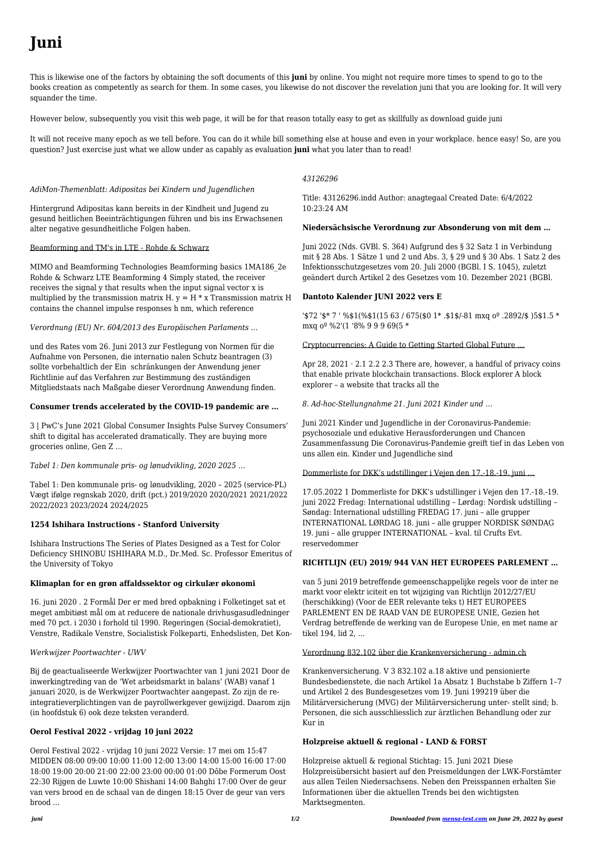# **Juni**

This is likewise one of the factors by obtaining the soft documents of this **juni** by online. You might not require more times to spend to go to the books creation as competently as search for them. In some cases, you likewise do not discover the revelation juni that you are looking for. It will very squander the time.

However below, subsequently you visit this web page, it will be for that reason totally easy to get as skillfully as download guide juni

It will not receive many epoch as we tell before. You can do it while bill something else at house and even in your workplace. hence easy! So, are you question? Just exercise just what we allow under as capably as evaluation **juni** what you later than to read!

### *AdiMon-Themenblatt: Adipositas bei Kindern und Jugendlichen*

Hintergrund Adipositas kann bereits in der Kindheit und Jugend zu gesund heitlichen Beeinträchtigungen führen und bis ins Erwachsenen alter negative gesundheitliche Folgen haben.

### Beamforming and TM's in LTE - Rohde & Schwarz

MIMO and Beamforming Technologies Beamforming basics 1MA186\_2e Rohde & Schwarz LTE Beamforming 4 Simply stated, the receiver receives the signal y that results when the input signal vector x is multiplied by the transmission matrix H.  $y = H * x$  Transmission matrix H contains the channel impulse responses h nm, which reference

### *Verordnung (EU) Nr. 604/2013 des Europäischen Parlaments …*

und des Rates vom 26. Juni 2013 zur Festlegung von Normen für die Aufnahme von Personen, die internatio nalen Schutz beantragen (3) sollte vorbehaltlich der Ein schränkungen der Anwendung jener Richtlinie auf das Verfahren zur Bestimmung des zuständigen Mitgliedstaats nach Maßgabe dieser Verordnung Anwendung finden.

## **Consumer trends accelerated by the COVID-19 pandemic are …**

3 | PwC's June 2021 Global Consumer Insights Pulse Survey Consumers' shift to digital has accelerated dramatically. They are buying more groceries online, Gen Z …

*Tabel 1: Den kommunale pris- og lønudvikling, 2020 2025 …*

Tabel 1: Den kommunale pris- og lønudvikling, 2020 – 2025 (service-PL) Vægt ifølge regnskab 2020, drift (pct.) 2019/2020 2020/2021 2021/2022 2022/2023 2023/2024 2024/2025

Apr 28,  $2021 \cdot 2.1$  2.2 2.3 There are, however, a handful of privacy coins that enable private blockchain transactions. Block explorer A block explorer – a website that tracks all the

## **1254 Ishihara Instructions - Stanford University**

Ishihara Instructions The Series of Plates Designed as a Test for Color Deficiency SHINOBU ISHIHARA M.D., Dr.Med. Sc. Professor Emeritus of the University of Tokyo

### **Klimaplan for en grøn affaldssektor og cirkulær økonomi**

16. juni 2020 . 2 Formål Der er med bred opbakning i Folketinget sat et meget ambitiøst mål om at reducere de nationale drivhusgasudledninger med 70 pct. i 2030 i forhold til 1990. Regeringen (Social-demokratiet), Venstre, Radikale Venstre, Socialistisk Folkeparti, Enhedslisten, Det Kon-

#### *Werkwijzer Poortwachter - UWV*

Bij de geactualiseerde Werkwijzer Poortwachter van 1 juni 2021 Door de inwerkingtreding van de 'Wet arbeidsmarkt in balans' (WAB) vanaf 1 januari 2020, is de Werkwijzer Poortwachter aangepast. Zo zijn de reintegratieverplichtingen van de payrollwerkgever gewijzigd. Daarom zijn (in hoofdstuk 6) ook deze teksten veranderd.

#### **Oerol Festival 2022 - vrijdag 10 juni 2022**

Oerol Festival 2022 - vrijdag 10 juni 2022 Versie: 17 mei om 15:47 MIDDEN 08:00 09:00 10:00 11:00 12:00 13:00 14:00 15:00 16:00 17:00 18:00 19:00 20:00 21:00 22:00 23:00 00:00 01:00 Dôbe Formerum Oost 22:30 Rijgen de Luwte 10:00 Shishani 14:00 Bahghi 17:00 Over de geur van vers brood en de schaal van de dingen 18:15 Over de geur van vers brood ...

# *43126296*

Title: 43126296.indd Author: anagtegaal Created Date: 6/4/2022 10:23:24 AM

## **Niedersächsische Verordnung zur Absonderung von mit dem …**

Juni 2022 (Nds. GVBl. S. 364) Aufgrund des § 32 Satz 1 in Verbindung mit § 28 Abs. 1 Sätze 1 und 2 und Abs. 3, § 29 und § 30 Abs. 1 Satz 2 des Infektionsschutzgesetzes vom 20. Juli 2000 (BGBl. I S. 1045), zuletzt geändert durch Artikel 2 des Gesetzes vom 10. Dezember 2021 (BGBl.

## **Dantoto Kalender JUNI 2022 vers E**

'\$72 '\$\* 7 ' %\$1(%\$1(15 63 / 675(\$0 1\* .\$1\$/-81 mxq oº .2892/\$ )5\$1.5 \* mxq oº %2'(1 '8% 9 9 9 69(5 \*

Cryptocurrencies: A Guide to Getting Started Global Future …

*8. Ad-hoc-Stellungnahme 21. Juni 2021 Kinder und …*

Juni 2021 Kinder und Jugendliche in der Coronavirus-Pandemie: psychosoziale und edukative Herausforderungen und Chancen Zusammenfassung Die Coronavirus-Pandemie greift tief in das Leben von uns allen ein. Kinder und Jugendliche sind

Dommerliste for DKK's udstillinger i Vejen den 17.-18.-19. juni …

17.05.2022 1 Dommerliste for DKK's udstillinger i Vejen den 17.-18.-19. juni 2022 Fredag: International udstilling – Lørdag: Nordisk udstilling – Søndag: International udstilling FREDAG 17. juni – alle grupper INTERNATIONAL LØRDAG 18. juni – alle grupper NORDISK SØNDAG 19. juni – alle grupper INTERNATIONAL – kval. til Crufts Evt. reservedommer

### **RICHTLIJN (EU) 2019/ 944 VAN HET EUROPEES PARLEMENT …**

van 5 juni 2019 betreffende gemeenschappelijke regels voor de inter ne markt voor elektr iciteit en tot wijziging van Richtlijn 2012/27/EU (herschikking) (Voor de EER relevante teks t) HET EUROPEES PARLEMENT EN DE RAAD VAN DE EUROPESE UNIE, Gezien het Verdrag betreffende de werking van de Europese Unie, en met name ar tikel 194, lid 2, ...

#### Verordnung 832.102 über die Krankenversicherung - admin.ch

Krankenversicherung. V 3 832.102 a.18 aktive und pensionierte Bundesbedienstete, die nach Artikel 1a Absatz 1 Buchstabe b Ziffern 1–7 und Artikel 2 des Bundesgesetzes vom 19. Juni 199219 über die Militärversicherung (MVG) der Militärversicherung unter- stellt sind; b. Personen, die sich ausschliesslich zur ärztlichen Behandlung oder zur Kur in

#### **Holzpreise aktuell & regional - LAND & FORST**

Holzpreise aktuell & regional Stichtag: 15. Juni 2021 Diese Holzpreisübersicht basiert auf den Preismeldungen der LWK-Forstämter aus allen Teilen Niedersachsens. Neben den Preisspannen erhalten Sie Informationen über die aktuellen Trends bei den wichtigsten Marktsegmenten.